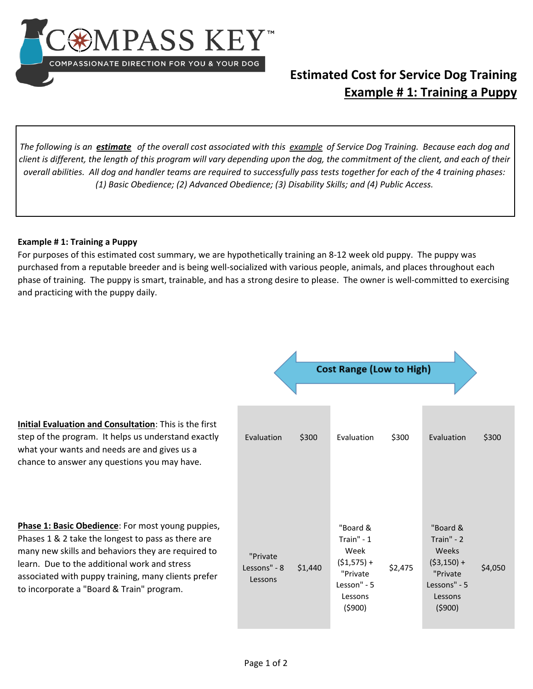

## **Estimated Cost for Service Dog Training Example # 1: Training a Puppy**

*The following is an estimate of the overall cost associated with this example of Service Dog Training. Because each dog and client is different, the length of this program will vary depending upon the dog, the commitment of the client, and each of their overall abilities. All dog and handler teams are required to successfully pass tests together for each of the 4 training phases: (1) Basic Obedience; (2) Advanced Obedience; (3) Disability Skills; and (4) Public Access.* 

## **Example # 1: Training a Puppy**

For purposes of this estimated cost summary, we are hypothetically training an 8-12 week old puppy. The puppy was purchased from a reputable breeder and is being well-socialized with various people, animals, and places throughout each phase of training. The puppy is smart, trainable, and has a strong desire to please. The owner is well-committed to exercising and practicing with the puppy daily.

|                                                                                                                                                                                                                                                                                                                   | <b>Cost Range (Low to High)</b>     |         |                                                                                                 |         |                                                                                                           |         |  |
|-------------------------------------------------------------------------------------------------------------------------------------------------------------------------------------------------------------------------------------------------------------------------------------------------------------------|-------------------------------------|---------|-------------------------------------------------------------------------------------------------|---------|-----------------------------------------------------------------------------------------------------------|---------|--|
|                                                                                                                                                                                                                                                                                                                   |                                     |         |                                                                                                 |         |                                                                                                           |         |  |
| <b>Initial Evaluation and Consultation:</b> This is the first<br>step of the program. It helps us understand exactly<br>what your wants and needs are and gives us a<br>chance to answer any questions you may have.                                                                                              | Evaluation                          | \$300   | Evaluation                                                                                      | \$300   | Evaluation                                                                                                | \$300   |  |
| Phase 1: Basic Obedience: For most young puppies,<br>Phases 1 & 2 take the longest to pass as there are<br>many new skills and behaviors they are required to<br>learn. Due to the additional work and stress<br>associated with puppy training, many clients prefer<br>to incorporate a "Board & Train" program. | "Private<br>Lessons" - 8<br>Lessons | \$1,440 | "Board &<br>Train" $-1$<br>Week<br>$(51,575) +$<br>"Private<br>Lesson" - 5<br>Lessons<br>(5900) | \$2,475 | "Board &<br>Train" $-2$<br><b>Weeks</b><br>$(53, 150) +$<br>"Private<br>Lessons" - 5<br>Lessons<br>(5900) | \$4,050 |  |